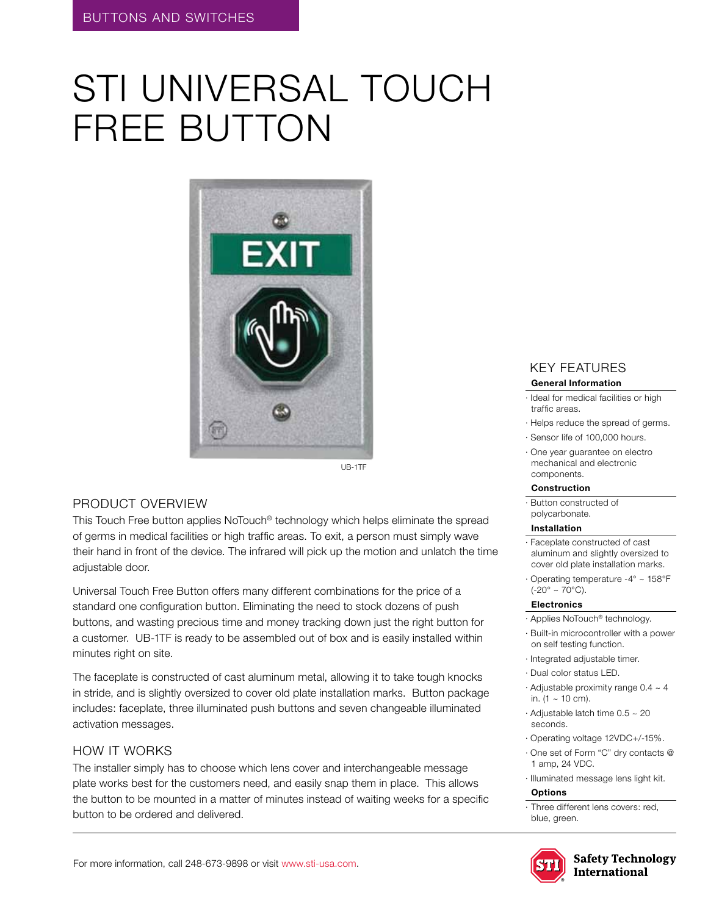# STI UNIVERSAL TOUCH FREE BUTTON



#### Product Overview

This Touch Free button applies NoTouch® technology which helps eliminate the spread of germs in medical facilities or high traffic areas. To exit, a person must simply wave their hand in front of the device. The infrared will pick up the motion and unlatch the time adjustable door.

Universal Touch Free Button offers many different combinations for the price of a standard one configuration button. Eliminating the need to stock dozens of push buttons, and wasting precious time and money tracking down just the right button for a customer. UB-1TF is ready to be assembled out of box and is easily installed within minutes right on site.

The faceplate is constructed of cast aluminum metal, allowing it to take tough knocks in stride, and is slightly oversized to cover old plate installation marks. Button package includes: faceplate, three illuminated push buttons and seven changeable illuminated activation messages.

#### how it works

The installer simply has to choose which lens cover and interchangeable message plate works best for the customers need, and easily snap them in place. This allows the button to be mounted in a matter of minutes instead of waiting weeks for a specific button to be ordered and delivered.

## KEY features

#### **General Information**

- · Ideal for medical facilities or high traffic areas.
- · Helps reduce the spread of germs.
- · Sensor life of 100,000 hours.
- · One year guarantee on electro mechanical and electronic components.

#### **Construction**

· Button constructed of polycarbonate.

#### **Installation**

- · Faceplate constructed of cast aluminum and slightly oversized to cover old plate installation marks.
- · Operating temperature -4° ~ 158°F  $(-20^{\circ} \sim 70^{\circ}C)$ .

#### **Electronics**

- · Applies NoTouch® technology.
- · Built-in microcontroller with a power on self testing function.
- · Integrated adjustable timer.
- · Dual color status LED.
- · Adjustable proximity range 0.4 ~ 4 in.  $(1 - 10 \text{ cm})$ .
- · Adjustable latch time 0.5 ~ 20 seconds.
- · Operating voltage 12VDC+/-15%.
- · One set of Form "C" dry contacts @ 1 amp, 24 VDC.
- · Illuminated message lens light kit.

#### **Options**

· Three different lens covers: red, blue, green.



**Safety Technology International**